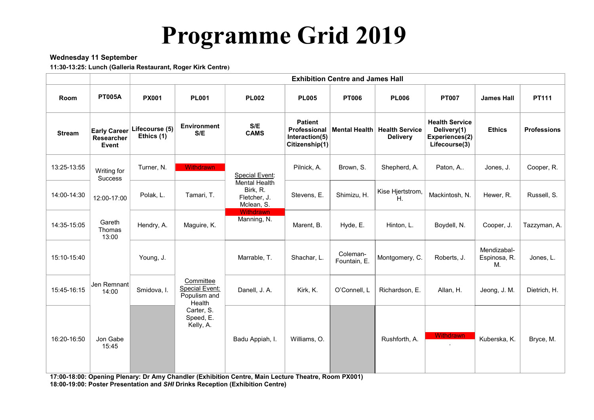# Programme Grid 2019

## Wednesday 11 September

11:30-13:25: Lunch (Galleria Restaurant, Roger Kirk Centre)

|               |                                            | <b>Exhibition Centre and James Hall</b> |                                                              |                                                                |                                                                    |                          |                                                 |                                                                         |                                   |                    |
|---------------|--------------------------------------------|-----------------------------------------|--------------------------------------------------------------|----------------------------------------------------------------|--------------------------------------------------------------------|--------------------------|-------------------------------------------------|-------------------------------------------------------------------------|-----------------------------------|--------------------|
| Room          | <b>PT005A</b>                              | <b>PX001</b>                            | <b>PL001</b>                                                 | <b>PL002</b>                                                   | <b>PL005</b>                                                       | <b>PT006</b>             | <b>PL006</b>                                    | <b>PT007</b>                                                            | <b>James Hall</b>                 | PT111              |
| <b>Stream</b> | <b>Early Career</b><br>Researcher<br>Event | Lifecourse (5)<br>Ethics (1)            | <b>Environment</b><br>S/E                                    | S/E<br><b>CAMS</b>                                             | <b>Patient</b><br>Professional<br>Interaction(5)<br>Citizenship(1) |                          | Mental Health Health Service<br><b>Delivery</b> | <b>Health Service</b><br>Delivery(1)<br>Experiences(2)<br>Lifecourse(3) | <b>Ethics</b>                     | <b>Professions</b> |
| 13:25-13:55   | Writing for<br><b>Success</b>              | Turner, N.                              | Withdrawn                                                    | <b>Special Event:</b>                                          | Pilnick, A.                                                        | Brown, S.                | Shepherd, A.                                    | Paton, A                                                                | Jones, J.                         | Cooper, R.         |
| 14:00-14:30   | 12:00-17:00                                | Polak, L.                               | Tamari, T.                                                   | <b>Mental Health</b><br>Birk, R.<br>Fletcher, J.<br>Mclean, S. | Stevens, E.                                                        | Shimizu, H.              | Kise Hjertstrom,<br>Η.                          | Mackintosh, N.                                                          | Hewer, R.                         | Russell, S.        |
| 14:35-15:05   | Gareth<br>Thomas<br>13:00                  | Hendry, A.                              | Maguire, K.                                                  | Withdrawn<br>Manning, N.                                       | Marent, B.                                                         | Hyde, E.                 | Hinton, L.                                      | Boydell, N.                                                             | Cooper, J.                        | Tazzyman, A.       |
| 15:10-15:40   |                                            | Young, J.                               |                                                              | Marrable, T.                                                   | Shachar, L.                                                        | Coleman-<br>Fountain, E. | Montgomery, C.                                  | Roberts, J.                                                             | Mendizabal-<br>Espinosa, R.<br>M. | Jones, L.          |
| 15:45-16:15   | Jen Remnant<br>14:00                       | Smidova, I.                             | Committee<br><b>Special Event:</b><br>Populism and<br>Health | Danell, J. A.                                                  | Kirk, K.                                                           | O'Connell, L             | Richardson, E.                                  | Allan, H.                                                               | Jeong, J. M.                      | Dietrich, H.       |
| 16:20-16:50   | Jon Gabe<br>15:45                          |                                         | Carter, S.<br>Speed, E.<br>Kelly, A.                         | Badu Appiah, I.                                                | Williams, O.                                                       |                          | Rushforth, A.                                   | <b>Withdrawn</b><br>$\blacksquare$                                      | Kuberska, K.                      | Bryce, M.          |

17:00-18:00: Opening Plenary: Dr Amy Chandler (Exhibition Centre, Main Lecture Theatre, Room PX001) 18:00-19:00: Poster Presentation and SHI Drinks Reception (Exhibition Centre)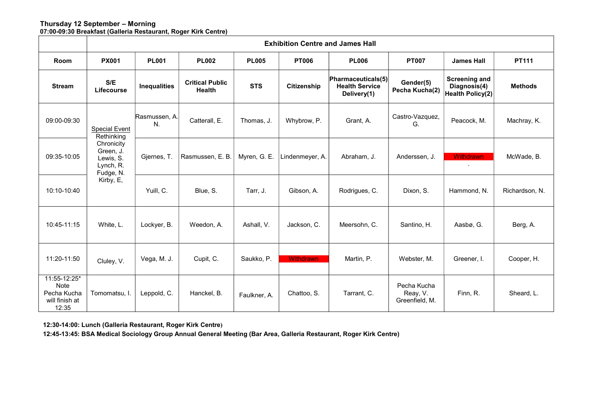#### Thursday 12 September – Morning 07:00-09:30 Breakfast (Galleria Restaurant, Roger Kirk Centre)

|                                                                | <b>Exhibition Centre and James Hall</b>                                                              |                     |                                  |              |                  |                                                            |                                           |                                                                 |                |
|----------------------------------------------------------------|------------------------------------------------------------------------------------------------------|---------------------|----------------------------------|--------------|------------------|------------------------------------------------------------|-------------------------------------------|-----------------------------------------------------------------|----------------|
| Room                                                           | <b>PX001</b>                                                                                         | <b>PL001</b>        | <b>PL002</b>                     | <b>PL005</b> | <b>PT006</b>     | <b>PL006</b>                                               | <b>PT007</b>                              | <b>James Hall</b>                                               | PT111          |
| <b>Stream</b>                                                  | S/E<br>Lifecourse                                                                                    | <b>Inequalities</b> | <b>Critical Public</b><br>Health | <b>STS</b>   | Citizenship      | Pharmaceuticals(5)<br><b>Health Service</b><br>Delivery(1) | Gender(5)<br>Pecha Kucha(2)               | <b>Screening and</b><br>Diagnosis(4)<br><b>Health Policy(2)</b> | <b>Methods</b> |
| 09:00-09:30                                                    | <b>Special Event</b><br>Rethinking<br>Chronicity<br>Green, J.<br>Lewis, S.<br>Lynch, R.<br>Fudge, N. | Rasmussen, A.<br>N. | Catterall, E.                    | Thomas, J.   | Whybrow, P.      | Grant, A.                                                  | Castro-Vazquez,<br>G.                     | Peacock, M.                                                     | Machray, K.    |
| 09:35-10:05                                                    |                                                                                                      | Gjernes, T.         | Rasmussen, E. B.                 | Myren, G. E. | Lindenmeyer, A.  | Abraham, J.                                                | Anderssen, J.                             | <b>Withdrawn</b><br>$\sim$                                      | McWade, B.     |
| 10:10-10:40                                                    | Kirby, E,                                                                                            | Yuill, C.           | Blue, S.                         | Tarr, J.     | Gibson, A.       | Rodrigues, C.                                              | Dixon, S.                                 | Hammond, N.                                                     | Richardson, N. |
| 10:45-11:15                                                    | White, L.                                                                                            | Lockyer, B.         | Weedon, A.                       | Ashall, V.   | Jackson, C.      | Meersohn, C.                                               | Santino, H.                               | Aasbø, G.                                                       | Berg, A.       |
| 11:20-11:50                                                    | Cluley, V.                                                                                           | Vega, M. J.         | Cupit, C.                        | Saukko, P.   | <b>Withdrawn</b> | Martin, P.                                                 | Webster, M.                               | Greener, I.                                                     | Cooper, H.     |
| 11:55-12:25*<br>Note<br>Pecha Kucha<br>will finish at<br>12:35 | Tomomatsu, I.                                                                                        | Leppold, C.         | Hanckel, B.                      | Faulkner, A. | Chattoo, S.      | Tarrant, C.                                                | Pecha Kucha<br>Reay, V.<br>Greenfield, M. | Finn, R.                                                        | Sheard, L.     |

12:30-14:00: Lunch (Galleria Restaurant, Roger Kirk Centre)

12:45-13:45: BSA Medical Sociology Group Annual General Meeting (Bar Area, Galleria Restaurant, Roger Kirk Centre)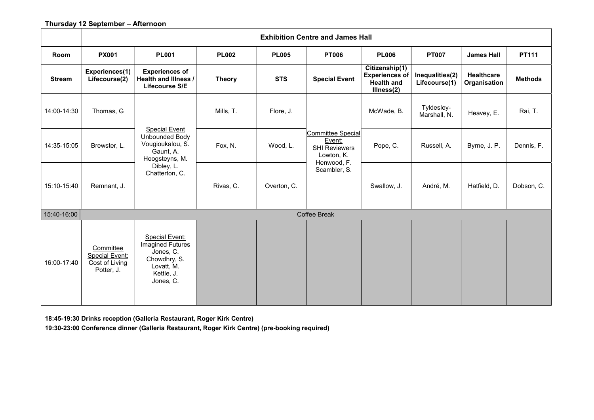# Thursday 12 September – Afternoon

|               | <b>Exhibition Centre and James Hall</b>                            |                                                                                                                        |               |              |                                                                                  |                                                                            |                                  |                                   |                |  |
|---------------|--------------------------------------------------------------------|------------------------------------------------------------------------------------------------------------------------|---------------|--------------|----------------------------------------------------------------------------------|----------------------------------------------------------------------------|----------------------------------|-----------------------------------|----------------|--|
| Room          | <b>PX001</b>                                                       | <b>PL001</b>                                                                                                           | <b>PL002</b>  | <b>PL005</b> | <b>PT006</b>                                                                     | <b>PL006</b>                                                               | <b>PT007</b>                     | <b>James Hall</b>                 | PT111          |  |
| <b>Stream</b> | Experiences(1)<br>Lifecourse(2)                                    | <b>Experiences of</b><br>Health and Illness /<br>Lifecourse S/E                                                        | <b>Theory</b> | <b>STS</b>   | <b>Special Event</b>                                                             | Citizenship(1)<br><b>Experiences of</b><br><b>Health and</b><br>Illness(2) | Inequalities(2)<br>Lifecourse(1) | <b>Healthcare</b><br>Organisation | <b>Methods</b> |  |
| 14:00-14:30   | Thomas, G                                                          | <b>Special Event</b><br>Unbounded Body<br>Vougioukalou, S.<br>Gaunt, A.<br>Hoogsteyns, M.                              | Mills, T.     | Flore, J.    |                                                                                  | McWade, B.                                                                 | Tyldesley-<br>Marshall, N.       | Heavey, E.                        | Rai, T.        |  |
| 14:35-15:05   | Brewster, L.                                                       |                                                                                                                        | Fox, N.       | Wood, L.     | Committee Special<br>Event:<br><b>SHI Reviewers</b><br>Lowton, K.<br>Henwood, F. | Pope, C.                                                                   | Russell, A.                      | Byrne, J. P.                      | Dennis, F.     |  |
| 15:10-15:40   | Remnant, J.                                                        | Dibley, L.<br>Chatterton, C.                                                                                           | Rivas, C.     | Overton, C.  | Scambler, S.                                                                     | Swallow, J.                                                                | André, M.                        | Hatfield, D.                      | Dobson, C.     |  |
| 15:40-16:00   |                                                                    |                                                                                                                        |               |              | Coffee Break                                                                     |                                                                            |                                  |                                   |                |  |
| 16:00-17:40   | Committee<br><b>Special Event:</b><br>Cost of Living<br>Potter, J. | <b>Special Event:</b><br><b>Imagined Futures</b><br>Jones, C.<br>Chowdhry, S.<br>Lovatt, M.<br>Kettle, J.<br>Jones, C. |               |              |                                                                                  |                                                                            |                                  |                                   |                |  |

18:45-19:30 Drinks reception (Galleria Restaurant, Roger Kirk Centre)

19:30-23:00 Conference dinner (Galleria Restaurant, Roger Kirk Centre) (pre-booking required)